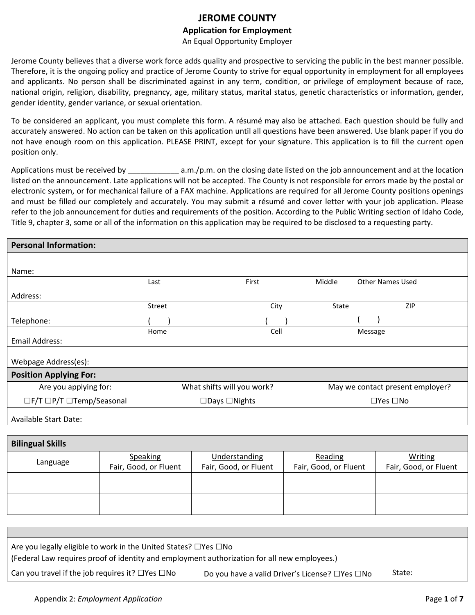## **JEROME COUNTY Application for Employment**

An Equal Opportunity Employer

Jerome County believes that a diverse work force adds quality and prospective to servicing the public in the best manner possible. Therefore, it is the ongoing policy and practice of Jerome County to strive for equal opportunity in employment for all employees and applicants. No person shall be discriminated against in any term, condition, or privilege of employment because of race, national origin, religion, disability, pregnancy, age, military status, marital status, genetic characteristics or information, gender, gender identity, gender variance, or sexual orientation.

To be considered an applicant, you must complete this form. A résumé may also be attached. Each question should be fully and accurately answered. No action can be taken on this application until all questions have been answered. Use blank paper if you do not have enough room on this application. PLEASE PRINT, except for your signature. This application is to fill the current open position only.

Applications must be received by \_\_\_\_\_\_\_\_\_\_\_\_ a.m./p.m. on the closing date listed on the job announcement and at the location listed on the announcement. Late applications will not be accepted. The County is not responsible for errors made by the postal or electronic system, or for mechanical failure of a FAX machine. Applications are required for all Jerome County positions openings and must be filled our completely and accurately. You may submit a résumé and cover letter with your job application. Please refer to the job announcement for duties and requirements of the position. According to the Public Writing section of Idaho Code, Title 9, chapter 3, some or all of the information on this application may be required to be disclosed to a requesting party.

| <b>Personal Information:</b>                                       |               |                            |      |        |                                  |
|--------------------------------------------------------------------|---------------|----------------------------|------|--------|----------------------------------|
|                                                                    |               |                            |      |        |                                  |
| Name:                                                              |               |                            |      |        |                                  |
|                                                                    | Last          | First                      |      | Middle | <b>Other Names Used</b>          |
| Address:                                                           |               |                            |      |        |                                  |
|                                                                    | <b>Street</b> |                            | City | State  | ZIP                              |
| Telephone:                                                         |               |                            |      |        |                                  |
|                                                                    | Home          |                            | Cell |        | Message                          |
| <b>Email Address:</b>                                              |               |                            |      |        |                                  |
| Webpage Address(es):                                               |               |                            |      |        |                                  |
| <b>Position Applying For:</b>                                      |               |                            |      |        |                                  |
| Are you applying for:                                              |               | What shifts will you work? |      |        | May we contact present employer? |
| □F/T □P/T □Temp/Seasonal                                           |               | $\Box$ Days $\Box$ Nights  |      |        | $\Box$ Yes $\Box$ No             |
| $\mathbf{A}$ . The latter $\mathbf{C}$ is a subset of $\mathbf{D}$ |               |                            |      |        |                                  |

Available Start Date:

| <b>Bilingual Skills</b> |                       |                       |                       |                       |
|-------------------------|-----------------------|-----------------------|-----------------------|-----------------------|
|                         | Speaking              | Understanding         | Reading               | Writing               |
| Language                | Fair, Good, or Fluent | Fair, Good, or Fluent | Fair, Good, or Fluent | Fair, Good, or Fluent |
|                         |                       |                       |                       |                       |
|                         |                       |                       |                       |                       |
|                         |                       |                       |                       |                       |
|                         |                       |                       |                       |                       |

| Are you legally eligible to work in the United States? $\Box$ Yes $\Box$ No                  |                                                |        |
|----------------------------------------------------------------------------------------------|------------------------------------------------|--------|
| (Federal Law requires proof of identity and employment authorization for all new employees.) |                                                |        |
| Can you travel if the job requires it? $\square$ Yes $\square$ No                            | Do you have a valid Driver's License? □Yes □No | State: |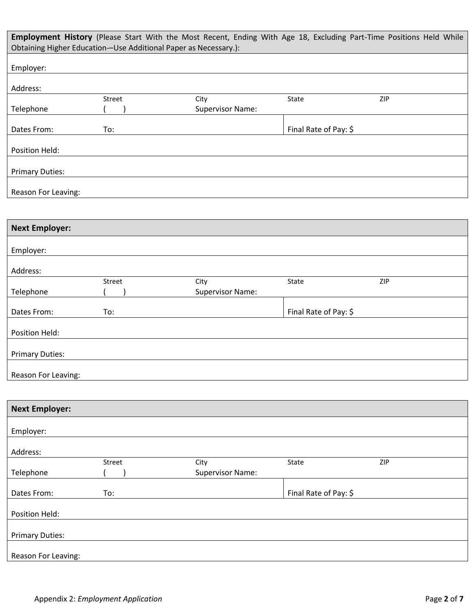|                        | Obtaining Higher Education--Use Additional Paper as Necessary.): | Employment History (Please Start With the Most Recent, Ending With Age 18, Excluding Part-Time Positions Held While |                       |            |
|------------------------|------------------------------------------------------------------|---------------------------------------------------------------------------------------------------------------------|-----------------------|------------|
| Employer:              |                                                                  |                                                                                                                     |                       |            |
| Address:               |                                                                  |                                                                                                                     |                       |            |
|                        | Street                                                           | City                                                                                                                | <b>State</b>          | <b>ZIP</b> |
| Telephone              |                                                                  | <b>Supervisor Name:</b>                                                                                             |                       |            |
|                        |                                                                  |                                                                                                                     |                       |            |
| Dates From:            | To:                                                              |                                                                                                                     | Final Rate of Pay: \$ |            |
| Position Held:         |                                                                  |                                                                                                                     |                       |            |
|                        |                                                                  |                                                                                                                     |                       |            |
| <b>Primary Duties:</b> |                                                                  |                                                                                                                     |                       |            |
|                        |                                                                  |                                                                                                                     |                       |            |
| Reason For Leaving:    |                                                                  |                                                                                                                     |                       |            |

| <b>Next Employer:</b>  |        |                         |                       |     |
|------------------------|--------|-------------------------|-----------------------|-----|
|                        |        |                         |                       |     |
| Employer:              |        |                         |                       |     |
|                        |        |                         |                       |     |
| Address:               |        |                         |                       |     |
|                        | Street | City                    | State                 | ZIP |
| Telephone              |        | <b>Supervisor Name:</b> |                       |     |
|                        |        |                         |                       |     |
| Dates From:            | To:    |                         | Final Rate of Pay: \$ |     |
|                        |        |                         |                       |     |
| Position Held:         |        |                         |                       |     |
|                        |        |                         |                       |     |
| <b>Primary Duties:</b> |        |                         |                       |     |
|                        |        |                         |                       |     |
| Reason For Leaving:    |        |                         |                       |     |

| <b>Next Employer:</b>  |        |                         |                       |     |
|------------------------|--------|-------------------------|-----------------------|-----|
| Employer:              |        |                         |                       |     |
|                        |        |                         |                       |     |
| Address:               |        |                         |                       |     |
|                        | Street | City                    | State                 | ZIP |
| Telephone              |        | <b>Supervisor Name:</b> |                       |     |
|                        |        |                         |                       |     |
| Dates From:            | To:    |                         | Final Rate of Pay: \$ |     |
|                        |        |                         |                       |     |
| Position Held:         |        |                         |                       |     |
|                        |        |                         |                       |     |
| <b>Primary Duties:</b> |        |                         |                       |     |
|                        |        |                         |                       |     |
| Reason For Leaving:    |        |                         |                       |     |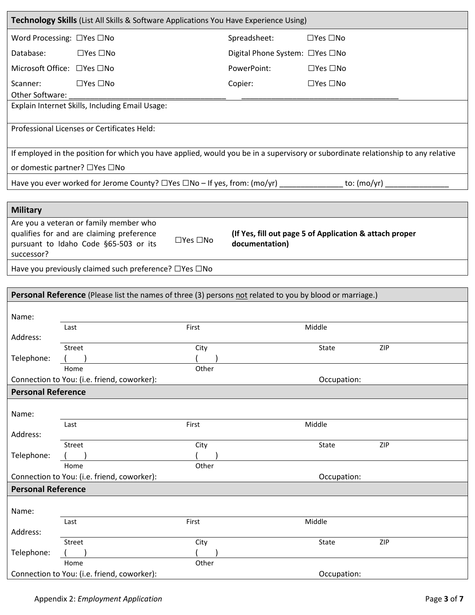|                           | Technology Skills (List All Skills & Software Applications You Have Experience Using)                                             |                      |                                                                           |                      |     |
|---------------------------|-----------------------------------------------------------------------------------------------------------------------------------|----------------------|---------------------------------------------------------------------------|----------------------|-----|
|                           | Word Processing: □Yes □No                                                                                                         |                      | Spreadsheet:                                                              | $\Box$ Yes $\Box$ No |     |
| Database:                 | $\Box$ Yes $\Box$ No                                                                                                              |                      | Digital Phone System: □Yes □No                                            |                      |     |
|                           | Microsoft Office: □ Yes □ No                                                                                                      |                      | PowerPoint:                                                               | $\Box$ Yes $\Box$ No |     |
| Scanner:                  | $\Box$ Yes $\Box$ No                                                                                                              |                      | Copier:                                                                   | $\Box$ Yes $\Box$ No |     |
| Other Software:           |                                                                                                                                   |                      |                                                                           |                      |     |
|                           | Explain Internet Skills, Including Email Usage:                                                                                   |                      |                                                                           |                      |     |
|                           | Professional Licenses or Certificates Held:                                                                                       |                      |                                                                           |                      |     |
|                           |                                                                                                                                   |                      |                                                                           |                      |     |
|                           | If employed in the position for which you have applied, would you be in a supervisory or subordinate relationship to any relative |                      |                                                                           |                      |     |
|                           | or domestic partner? □Yes □No                                                                                                     |                      |                                                                           |                      |     |
|                           | Have you ever worked for Jerome County? □Yes □No - If yes, from: (mo/yr) ______________ to: (mo/yr) _                             |                      |                                                                           |                      |     |
|                           |                                                                                                                                   |                      |                                                                           |                      |     |
| <b>Military</b>           |                                                                                                                                   |                      |                                                                           |                      |     |
|                           | Are you a veteran or family member who<br>qualifies for and are claiming preference                                               |                      |                                                                           |                      |     |
|                           | pursuant to Idaho Code §65-503 or its                                                                                             | $\Box$ Yes $\Box$ No | (If Yes, fill out page 5 of Application & attach proper<br>documentation) |                      |     |
| successor?                |                                                                                                                                   |                      |                                                                           |                      |     |
|                           | Have you previously claimed such preference? □Yes □No                                                                             |                      |                                                                           |                      |     |
|                           |                                                                                                                                   |                      |                                                                           |                      |     |
|                           | Personal Reference (Please list the names of three (3) persons not related to you by blood or marriage.)                          |                      |                                                                           |                      |     |
| Name:                     |                                                                                                                                   |                      |                                                                           |                      |     |
|                           | Last                                                                                                                              | First                |                                                                           | Middle               |     |
| Address:                  | Street                                                                                                                            | City                 |                                                                           | <b>State</b>         | ZIP |
| Telephone:                |                                                                                                                                   |                      |                                                                           |                      |     |
|                           | Home                                                                                                                              | Other                |                                                                           |                      |     |
|                           | Connection to You: (i.e. friend, coworker):                                                                                       |                      |                                                                           | Occupation:          |     |
| <b>Personal Reference</b> |                                                                                                                                   |                      |                                                                           |                      |     |
| Name:                     |                                                                                                                                   |                      |                                                                           |                      |     |
|                           | Last                                                                                                                              | First                |                                                                           | Middle               |     |
| Address:                  | Street                                                                                                                            | City                 |                                                                           | State                | ZIP |
| Telephone:                |                                                                                                                                   |                      |                                                                           |                      |     |
|                           | Home                                                                                                                              | Other                |                                                                           |                      |     |
| <b>Personal Reference</b> | Connection to You: (i.e. friend, coworker):                                                                                       |                      |                                                                           | Occupation:          |     |
|                           |                                                                                                                                   |                      |                                                                           |                      |     |
| Name:                     |                                                                                                                                   |                      |                                                                           |                      |     |
|                           | Last                                                                                                                              | First                |                                                                           | Middle               |     |
| Address:                  | Street                                                                                                                            | City                 |                                                                           | State                | ZIP |
| Telephone:                |                                                                                                                                   |                      |                                                                           |                      |     |
|                           | Home                                                                                                                              | Other                |                                                                           |                      |     |
|                           | Connection to You: (i.e. friend, coworker):                                                                                       |                      |                                                                           | Occupation:          |     |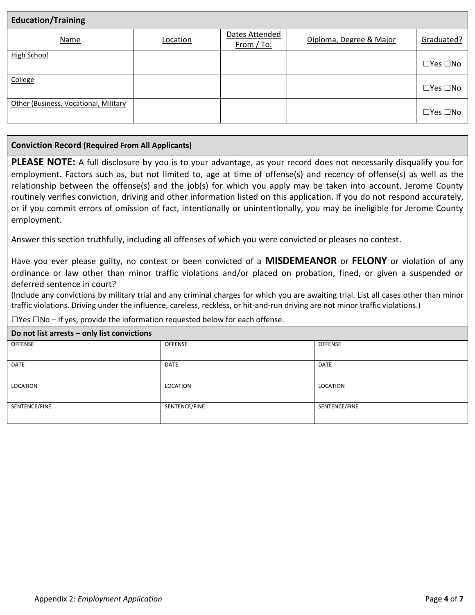| <b>Education/Training</b>             |          |                              |                         |                      |
|---------------------------------------|----------|------------------------------|-------------------------|----------------------|
| Name                                  | Location | Dates Attended<br>From / To: | Diploma, Degree & Major | Graduated?           |
| High School                           |          |                              |                         | $\Box$ Yes $\Box$ No |
| College                               |          |                              |                         | $\Box$ Yes $\Box$ No |
| Other (Business, Vocational, Military |          |                              |                         | $\Box$ Yes $\Box$ No |

### **Conviction Record (Required From All Applicants)**

**PLEASE NOTE:** A full disclosure by you is to your advantage, as your record does not necessarily disqualify you for employment. Factors such as, but not limited to, age at time of offense(s) and recency of offense(s) as well as the relationship between the offense(s) and the job(s) for which you apply may be taken into account. Jerome County routinely verifies conviction, driving and other information listed on this application. If you do not respond accurately, or if you commit errors of omission of fact, intentionally or unintentionally, you may be ineligible for Jerome County employment.

Answer this section truthfully, including all offenses of which you were convicted or pleases no contest.

Have you ever please guilty, no contest or been convicted of a **MISDEMEANOR** or **FELONY** or violation of any ordinance or law other than minor traffic violations and/or placed on probation, fined, or given a suspended or deferred sentence in court?

(Include any convictions by military trial and any criminal charges for which you are awaiting trial. List all cases other than minor traffic violations. Driving under the influence, careless, reckless, or hit-and-run driving are not minor traffic violations.)

 $\Box$ Yes  $\Box$ No – If yes, provide the information requested below for each offense.

### **Do not list arrests – only list convictions**

| <b>PO HOL HOL GITCOLD OHIY HOL CONTRIGHOND</b> |               |               |
|------------------------------------------------|---------------|---------------|
| OFFENSE                                        | OFFENSE       | OFFENSE       |
|                                                |               |               |
| DATE                                           | DATE          | DATE          |
|                                                |               |               |
| LOCATION                                       | LOCATION      | LOCATION      |
|                                                |               |               |
| SENTENCE/FINE                                  | SENTENCE/FINE | SENTENCE/FINE |
|                                                |               |               |
|                                                |               |               |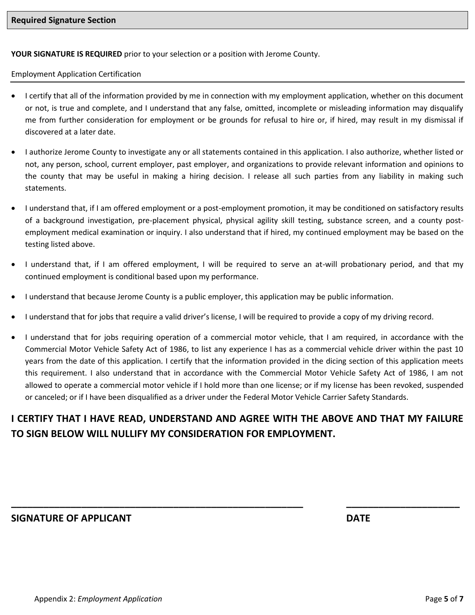**YOUR SIGNATURE IS REQUIRED** prior to your selection or a position with Jerome County.

Employment Application Certification

- I certify that all of the information provided by me in connection with my employment application, whether on this document or not, is true and complete, and I understand that any false, omitted, incomplete or misleading information may disqualify me from further consideration for employment or be grounds for refusal to hire or, if hired, may result in my dismissal if discovered at a later date.
- I authorize Jerome County to investigate any or all statements contained in this application. I also authorize, whether listed or not, any person, school, current employer, past employer, and organizations to provide relevant information and opinions to the county that may be useful in making a hiring decision. I release all such parties from any liability in making such statements.
- I understand that, if I am offered employment or a post-employment promotion, it may be conditioned on satisfactory results of a background investigation, pre-placement physical, physical agility skill testing, substance screen, and a county postemployment medical examination or inquiry. I also understand that if hired, my continued employment may be based on the testing listed above.
- I understand that, if I am offered employment, I will be required to serve an at-will probationary period, and that my continued employment is conditional based upon my performance.
- I understand that because Jerome County is a public employer, this application may be public information.
- I understand that for jobs that require a valid driver's license, I will be required to provide a copy of my driving record.
- I understand that for jobs requiring operation of a commercial motor vehicle, that I am required, in accordance with the Commercial Motor Vehicle Safety Act of 1986, to list any experience I has as a commercial vehicle driver within the past 10 years from the date of this application. I certify that the information provided in the dicing section of this application meets this requirement. I also understand that in accordance with the Commercial Motor Vehicle Safety Act of 1986, I am not allowed to operate a commercial motor vehicle if I hold more than one license; or if my license has been revoked, suspended or canceled; or if I have been disqualified as a driver under the Federal Motor Vehicle Carrier Safety Standards.

# **I CERTIFY THAT I HAVE READ, UNDERSTAND AND AGREE WITH THE ABOVE AND THAT MY FAILURE TO SIGN BELOW WILL NULLIFY MY CONSIDERATION FOR EMPLOYMENT.**

**\_\_\_\_\_\_\_\_\_\_\_\_\_\_\_\_\_\_\_\_\_\_\_\_\_\_\_\_\_\_\_\_\_\_\_\_\_\_\_\_\_\_\_\_\_\_\_\_\_\_\_\_\_\_ \_\_\_\_\_\_\_\_\_\_\_\_\_\_\_\_\_\_\_\_\_**

**SIGNATURE OF APPLICANT DATE**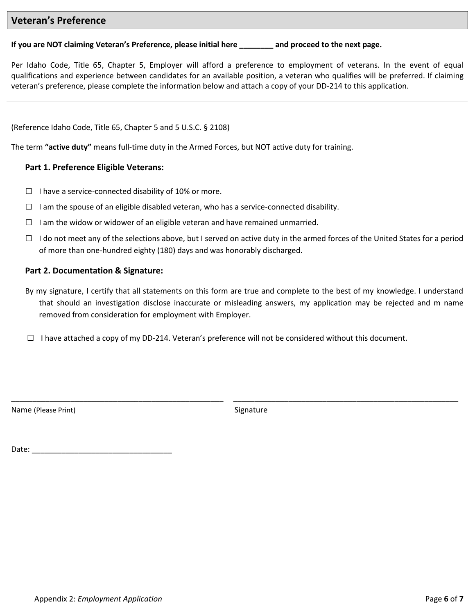### **Veteran's Preference**

### **If you are NOT claiming Veteran's Preference, please initial here \_\_\_\_\_\_\_\_ and proceed to the next page.**

Per Idaho Code, Title 65, Chapter 5, Employer will afford a preference to employment of veterans. In the event of equal qualifications and experience between candidates for an available position, a veteran who qualifies will be preferred. If claiming veteran's preference, please complete the information below and attach a copy of your DD-214 to this application.

(Reference Idaho Code, Title 65, Chapter 5 and 5 U.S.C. § 2108)

The term **"active duty"** means full-time duty in the Armed Forces, but NOT active duty for training.

### **Part 1. Preference Eligible Veterans:**

- $\Box$  I have a service-connected disability of 10% or more.
- $\Box$  I am the spouse of an eligible disabled veteran, who has a service-connected disability.
- $\Box$  I am the widow or widower of an eligible veteran and have remained unmarried.
- $\Box$  I do not meet any of the selections above, but I served on active duty in the armed forces of the United States for a period of more than one-hundred eighty (180) days and was honorably discharged.

### **Part 2. Documentation & Signature:**

- By my signature, I certify that all statements on this form are true and complete to the best of my knowledge. I understand that should an investigation disclose inaccurate or misleading answers, my application may be rejected and m name removed from consideration for employment with Employer.
- $\Box$  I have attached a copy of my DD-214. Veteran's preference will not be considered without this document.

Name (Please Print) Signature

\_\_\_\_\_\_\_\_\_\_\_\_\_\_\_\_\_\_\_\_\_\_\_\_\_\_\_\_\_\_\_\_\_\_\_\_\_\_\_\_\_\_\_\_\_\_\_\_\_\_ \_\_\_\_\_\_\_\_\_\_\_\_\_\_\_\_\_\_\_\_\_\_\_\_\_\_\_\_\_\_\_\_\_\_\_\_\_\_\_\_\_\_\_\_\_\_\_\_\_\_\_\_\_

Date: